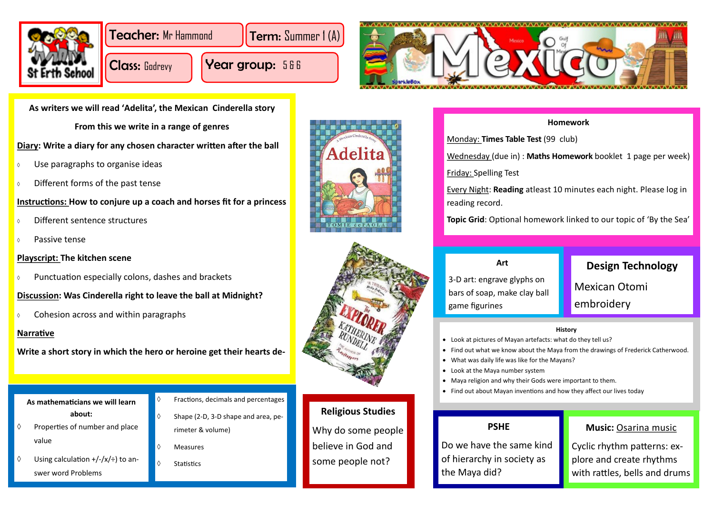

Teacher: Mr Hammond **Term:** Summer 1 (A)

Class: Godrevy

Year group: 586



**As writers we will read 'Adelita', the Mexican Cinderella story**

- Use paragraphs to organise ideas
- $\circ$  Different forms of the past tense

**From this we write in a range of genres**

- Different sentence structures
- $\Diamond$  Passive tense

# **Diary: Write a diary for any chosen character written after the ball**

# **Instructions: How to conjure up a coach and horses fit for a princess**

- $\Diamond$  Properties of number and place value
- Using calculation  $+/-/x/$ ÷) to answer word Problems
- $\Diamond$  Fractions, decimals and percentages
- $\Diamond$  Shape (2-D, 3-D shape and area, perimeter & volume)
- Measures
- $\Diamond$  Statistics





# **Playscript: The kitchen scene**

 $\circ$  Punctuation especially colons, dashes and brackets

3-D art: engrave glyphs on bars of soap, make clay b game figurines

- Look at pictures of Mayan artefacts: what do they tell us?
- Find out what we know about the Maya from the drawings of Frederick Catherwood.
- What was daily life was like for the Mayans?
- Look at the Maya number system
- Maya religion and why their Gods were important to them.
- Find out about Mayan inventions and how they affect our lives today

# **Discussion: Was Cinderella right to leave the ball at Midnight?**

 $\circ$  Cohesion across and within paragraphs

# **Narrative**

**Write a short story in which the hero or heroine get their hearts de-**

**As mathematicians we will learn about:**

## **Art**

| ın<br>all | <b>Design Technology</b> |
|-----------|--------------------------|
|           | <b>Mexican Otomi</b>     |
|           | embroidery               |

## **History**

- 
- 

# **Religious Studies**

Why do some people believe in God and some people not?

# **PSHE**

Do we have the same kind of hierarchy in society as the Maya did?

# **Music:** Osarina music

Cyclic rhythm patterns: explore and create rhythms with rattles, bells and drums

## **Homework**

Wednesday (due in) : **Maths Homework** booklet 1 page per week)

Monday: **Times Table Test** (99 club) Friday: Spelling Test reading record.

Every Night: **Reading** atleast 10 minutes each night. Please log in

**Topic Grid**: Optional homework linked to our topic of 'By the Sea'